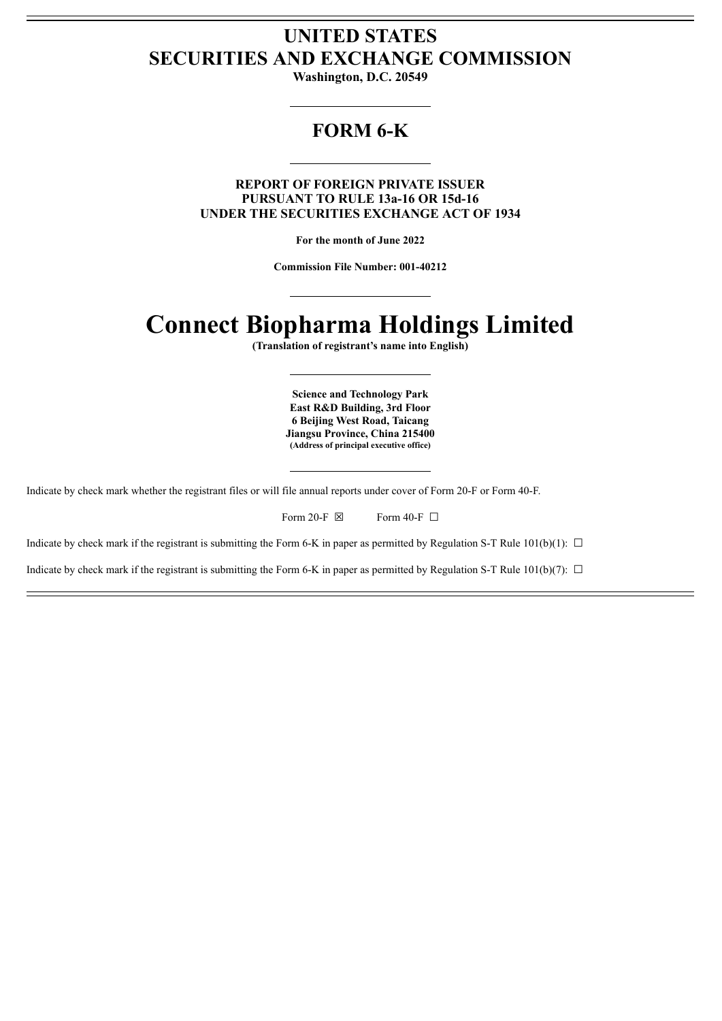## **UNITED STATES SECURITIES AND EXCHANGE COMMISSION**

**Washington, D.C. 20549**

## **FORM 6-K**

**REPORT OF FOREIGN PRIVATE ISSUER PURSUANT TO RULE 13a-16 OR 15d-16 UNDER THE SECURITIES EXCHANGE ACT OF 1934**

**For the month of June 2022**

**Commission File Number: 001-40212**

# **Connect Biopharma Holdings Limited**

**(Translation of registrant's name into English)**

**Science and Technology Park East R&D Building, 3rd Floor 6 Beijing West Road, Taicang Jiangsu Province, China 215400 (Address of principal executive office)**

Indicate by check mark whether the registrant files or will file annual reports under cover of Form 20-F or Form 40-F.

Form 20-F  $\boxtimes$  Form 40-F  $\Box$ 

Indicate by check mark if the registrant is submitting the Form 6-K in paper as permitted by Regulation S-T Rule 101(b)(1):  $\Box$ 

Indicate by check mark if the registrant is submitting the Form 6-K in paper as permitted by Regulation S-T Rule 101(b)(7):  $\Box$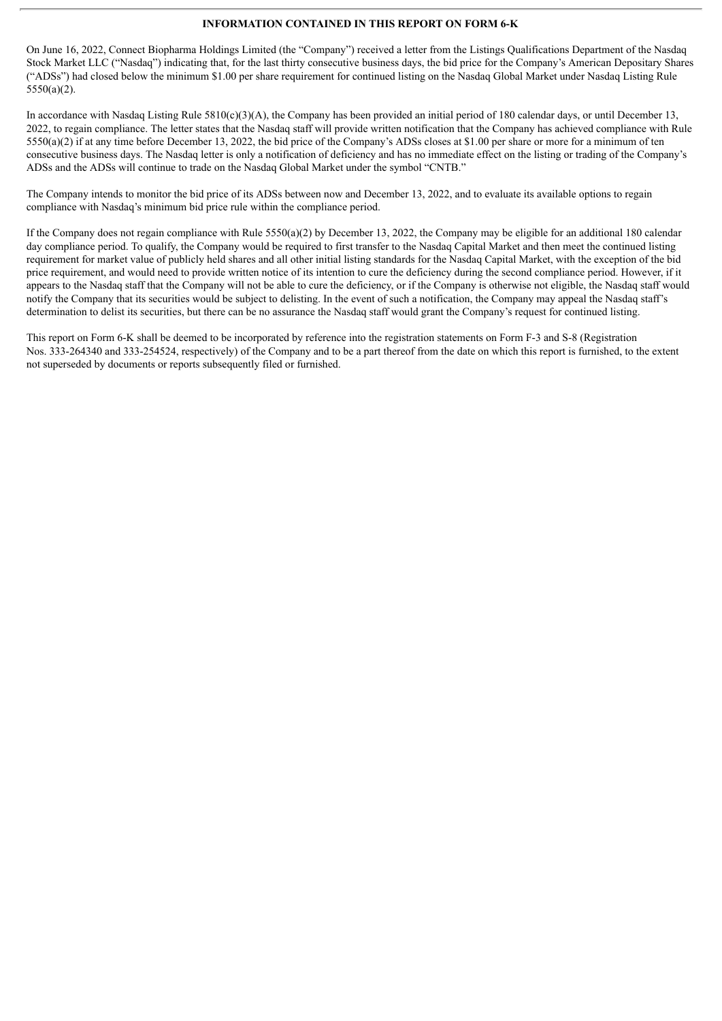#### **INFORMATION CONTAINED IN THIS REPORT ON FORM 6-K**

On June 16, 2022, Connect Biopharma Holdings Limited (the "Company") received a letter from the Listings Qualifications Department of the Nasdaq Stock Market LLC ("Nasdaq") indicating that, for the last thirty consecutive business days, the bid price for the Company's American Depositary Shares ("ADSs") had closed below the minimum \$1.00 per share requirement for continued listing on the Nasdaq Global Market under Nasdaq Listing Rule 5550(a)(2).

In accordance with Nasdaq Listing Rule  $5810(c)(3)(A)$ , the Company has been provided an initial period of 180 calendar days, or until December 13, 2022, to regain compliance. The letter states that the Nasdaq staff will provide written notification that the Company has achieved compliance with Rule 5550(a)(2) if at any time before December 13, 2022, the bid price of the Company's ADSs closes at \$1.00 per share or more for a minimum of ten consecutive business days. The Nasdaq letter is only a notification of deficiency and has no immediate effect on the listing or trading of the Company's ADSs and the ADSs will continue to trade on the Nasdaq Global Market under the symbol "CNTB."

The Company intends to monitor the bid price of its ADSs between now and December 13, 2022, and to evaluate its available options to regain compliance with Nasdaq's minimum bid price rule within the compliance period.

If the Company does not regain compliance with Rule  $5550(a)(2)$  by December 13, 2022, the Company may be eligible for an additional 180 calendar day compliance period. To qualify, the Company would be required to first transfer to the Nasdaq Capital Market and then meet the continued listing requirement for market value of publicly held shares and all other initial listing standards for the Nasdaq Capital Market, with the exception of the bid price requirement, and would need to provide written notice of its intention to cure the deficiency during the second compliance period. However, if it appears to the Nasdaq staff that the Company will not be able to cure the deficiency, or if the Company is otherwise not eligible, the Nasdaq staff would notify the Company that its securities would be subject to delisting. In the event of such a notification, the Company may appeal the Nasdaq staff's determination to delist its securities, but there can be no assurance the Nasdaq staff would grant the Company's request for continued listing.

This report on Form 6-K shall be deemed to be incorporated by reference into the registration statements on Form F-3 and S-8 (Registration Nos. 333-264340 and 333-254524, respectively) of the Company and to be a part thereof from the date on which this report is furnished, to the extent not superseded by documents or reports subsequently filed or furnished.